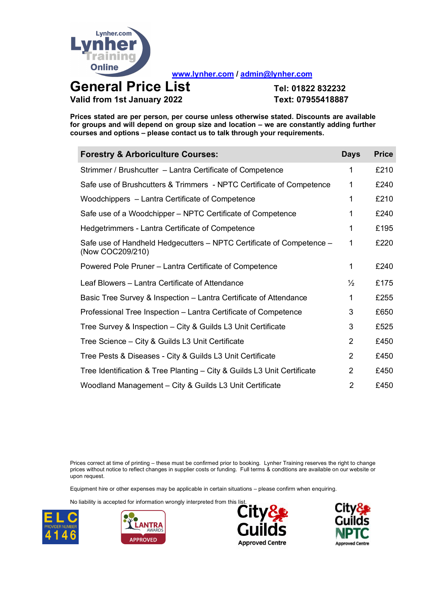

**www.lynher.com / admin@lynher.com**

**General Price List Tel: <sup>01822</sup> <sup>832232</sup> Valid from 1st January 2022 Text: 07955418887**

**Prices stated are per person, per course unless otherwise stated. Discounts are available for groups and will depend on group size and location – we are constantly adding further courses and options – please contact us to talk through your requirements.**

| <b>Forestry &amp; Arboriculture Courses:</b>                                             | <b>Days</b>    | <b>Price</b> |
|------------------------------------------------------------------------------------------|----------------|--------------|
| Strimmer / Brushcutter – Lantra Certificate of Competence                                | 1              | £210         |
| Safe use of Brushcutters & Trimmers - NPTC Certificate of Competence                     | 1              | £240         |
| Woodchippers - Lantra Certificate of Competence                                          | 1              | £210         |
| Safe use of a Woodchipper - NPTC Certificate of Competence                               | 1              | £240         |
| Hedgetrimmers - Lantra Certificate of Competence                                         | 1              | £195         |
| Safe use of Handheld Hedgecutters – NPTC Certificate of Competence –<br>(Now COC209/210) | 1              | £220         |
| Powered Pole Pruner – Lantra Certificate of Competence                                   | 1              | £240         |
| Leaf Blowers - Lantra Certificate of Attendance                                          | $\frac{1}{2}$  | £175         |
| Basic Tree Survey & Inspection – Lantra Certificate of Attendance                        | 1              | £255         |
| Professional Tree Inspection – Lantra Certificate of Competence                          | 3              | £650         |
| Tree Survey & Inspection – City & Guilds L3 Unit Certificate                             | 3              | £525         |
| Tree Science - City & Guilds L3 Unit Certificate                                         | $\overline{2}$ | £450         |
| Tree Pests & Diseases - City & Guilds L3 Unit Certificate                                | $\overline{2}$ | £450         |
| Tree Identification & Tree Planting - City & Guilds L3 Unit Certificate                  | $\overline{2}$ | £450         |
| Woodland Management - City & Guilds L3 Unit Certificate                                  | 2              | £450         |

Prices correct at time of printing – these must be confirmed prior to booking. Lynher Training reserves the right to change prices without notice to reflect changes in supplier costs or funding. Full terms & conditions are available on our website or upon request.

Equipment hire or other expenses may be applicable in certain situations – please confirm when enquiring.







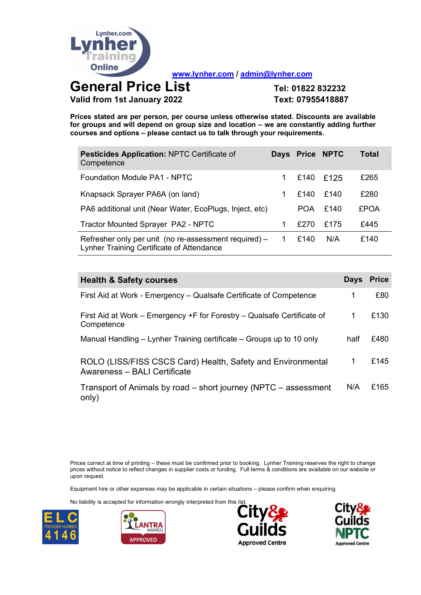

**www.lynher.com / admin@lynher.com**

## **General Price List Tel: <sup>01822</sup> <sup>832232</sup> Valid from 1st January 2022 Text: 07955418887**

**Prices stated are per person, per course unless otherwise stated. Discounts are available for groups and will depend on group size and location – we are constantly adding further courses and options – please contact us to talk through your requirements.**

| <b>Pesticides Application: NPTC Certificate of</b><br>Competence                                   |                | Days Price NPTC |      | Total       |
|----------------------------------------------------------------------------------------------------|----------------|-----------------|------|-------------|
| Foundation Module PA1 - NPTC                                                                       |                | £140            | £125 | £265        |
| Knapsack Sprayer PA6A (on land)                                                                    |                | £140            | £140 | £280        |
| PA6 additional unit (Near Water, EcoPlugs, Inject, etc)                                            |                | <b>POA</b>      | f140 | <b>£POA</b> |
| Tractor Mounted Sprayer PA2 - NPTC                                                                 |                | £270            | £175 | £445        |
| Refresher only per unit (no re-assessment required) –<br>Lynher Training Certificate of Attendance | $\overline{1}$ | £140            | N/A  | £140        |

| <b>Health &amp; Safety courses</b>                                                          | <b>Days</b> | Price |
|---------------------------------------------------------------------------------------------|-------------|-------|
| First Aid at Work - Emergency – Qualsafe Certificate of Competence                          | 1           | £80   |
| First Aid at Work – Emergency +F for Forestry – Qualsafe Certificate of<br>Competence       | 1           | £130  |
| Manual Handling – Lynher Training certificate – Groups up to 10 only                        | half        | £480  |
| ROLO (LISS/FISS CSCS Card) Health, Safety and Environmental<br>Awareness - BALI Certificate | 1           | £145  |
| Transport of Animals by road – short journey (NPTC – assessment<br>only)                    | N/A         | £165  |

Prices correct at time of printing – these must be confirmed prior to booking. Lynher Training reserves the right to change prices without notice to reflect changes in supplier costs or funding. Full terms & conditions are available on our website or upon request.

Equipment hire or other expenses may be applicable in certain situations – please confirm when enquiring.







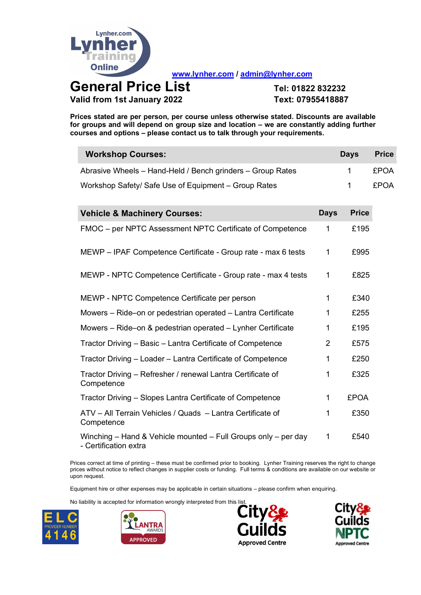

 $\sim$ 

**www.lynher.com / admin@lynher.com**

**Valid from 1st January 2022 Text: 07955418887**

**Prices stated are per person, per course unless otherwise stated. Discounts are available for groups and will depend on group size and location – we are constantly adding further courses and options – please contact us to talk through your requirements.**

| <b>Workshop Courses:</b>                                                                |                | <b>Days</b>  | <b>Price</b> |
|-----------------------------------------------------------------------------------------|----------------|--------------|--------------|
| Abrasive Wheels - Hand-Held / Bench grinders - Group Rates                              |                | 1            | <b>£POA</b>  |
| Workshop Safety/ Safe Use of Equipment - Group Rates                                    |                | $\mathbf{1}$ | <b>£POA</b>  |
| <b>Vehicle &amp; Machinery Courses:</b>                                                 | <b>Days</b>    | <b>Price</b> |              |
| FMOC - per NPTC Assessment NPTC Certificate of Competence                               | 1              | £195         |              |
| MEWP - IPAF Competence Certificate - Group rate - max 6 tests                           | 1              | £995         |              |
| MEWP - NPTC Competence Certificate - Group rate - max 4 tests                           | 1              | £825         |              |
| MEWP - NPTC Competence Certificate per person                                           | 1              | £340         |              |
| Mowers - Ride-on or pedestrian operated - Lantra Certificate                            | 1              | £255         |              |
| Mowers - Ride-on & pedestrian operated - Lynher Certificate                             | 1              | £195         |              |
| Tractor Driving - Basic - Lantra Certificate of Competence                              | $\overline{2}$ | £575         |              |
| Tractor Driving - Loader - Lantra Certificate of Competence                             | 1              | £250         |              |
| Tractor Driving - Refresher / renewal Lantra Certificate of<br>Competence               | 1              | £325         |              |
| Tractor Driving - Slopes Lantra Certificate of Competence                               | 1              | <b>£POA</b>  |              |
| ATV - All Terrain Vehicles / Quads - Lantra Certificate of<br>Competence                | 1              | £350         |              |
| Winching - Hand & Vehicle mounted - Full Groups only - per day<br>- Certification extra | 1              | £540         |              |

Prices correct at time of printing – these must be confirmed prior to booking. Lynher Training reserves the right to change prices without notice to reflect changes in supplier costs or funding. Full terms & conditions are available on our website or upon request.

Equipment hire or other expenses may be applicable in certain situations – please confirm when enquiring.